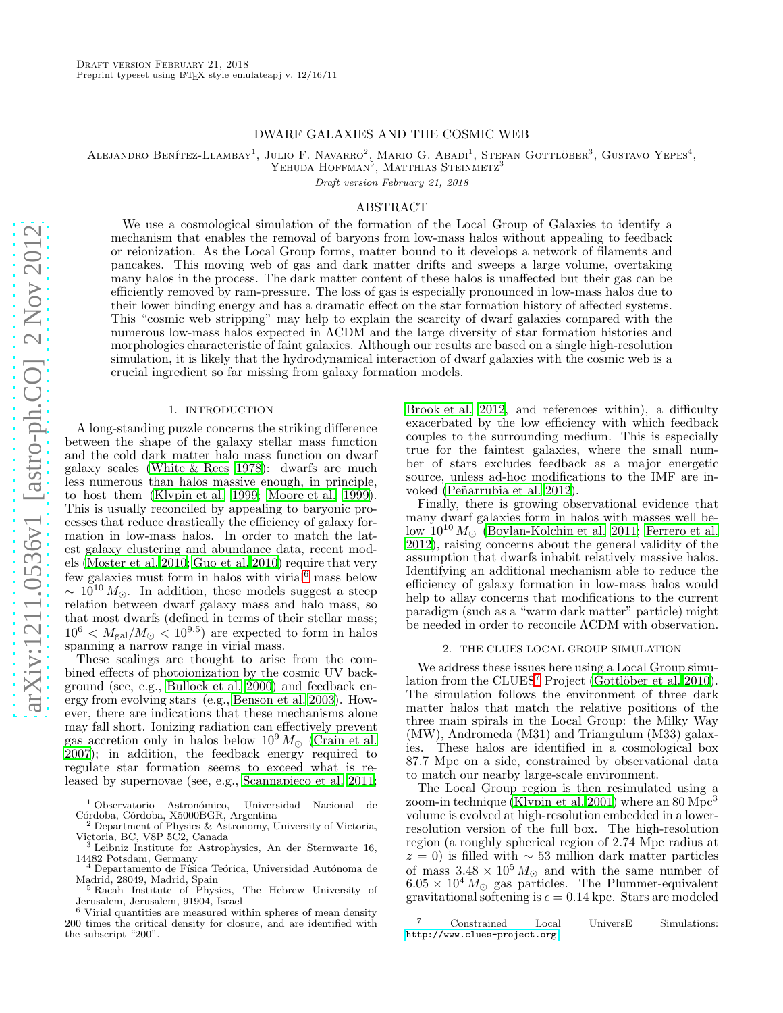# DWARF GALAXIES AND THE COSMIC WEB

ALEJANDRO BENÍTEZ-LLAMBAY<sup>1</sup>, JULIO F. NAVARRO<sup>2</sup>, MARIO G. ABADI<sup>1</sup>, STEFAN GOTTLÖBER<sup>3</sup>, GUSTAVO YEPES<sup>4</sup>,

YEHUDA  $H$ OFFMAN<sup>5</sup>, MATTHIAS STEINMETZ<sup>3</sup>

Draft version February 21, 2018

## ABSTRACT

We use a cosmological simulation of the formation of the Local Group of Galaxies to identify a mechanism that enables the removal of baryons from low-mass halos without appealing to feedback or reionization. As the Local Group forms, matter bound to it develops a network of filaments and pancakes. This moving web of gas and dark matter drifts and sweeps a large volume, overtaking many halos in the process. The dark matter content of these halos is unaffected but their gas can be efficiently removed by ram-pressure. The loss of gas is especially pronounced in low-mass halos due to their lower binding energy and has a dramatic effect on the star formation history of affected systems. This "cosmic web stripping" may help to explain the scarcity of dwarf galaxies compared with the numerous low-mass halos expected in ΛCDM and the large diversity of star formation histories and morphologies characteristic of faint galaxies. Although our results are based on a single high-resolution simulation, it is likely that the hydrodynamical interaction of dwarf galaxies with the cosmic web is a crucial ingredient so far missing from galaxy formation models.

# 1. INTRODUCTION

A long-standing puzzle concerns the striking difference between the shape of the galaxy stellar mass function and the cold dark matter halo mass function on dwarf galaxy scales [\(White & Rees 1978\)](#page-5-0): dwarfs are much less numerous than halos massive enough, in principle, to host them [\(Klypin et al. 1999;](#page-5-1) [Moore et al. 1999\)](#page-5-2). This is usually reconciled by appealing to baryonic processes that reduce drastically the efficiency of galaxy formation in low-mass halos. In order to match the latest galaxy clustering and abundance data, recent models [\(Moster et al. 2010](#page-5-3); [Guo et al. 2010](#page-5-4)) require that very few galaxies must form in halos with virial[6](#page-0-0) mass below  $\sim 10^{10} M_{\odot}$ . In addition, these models suggest a steep relation between dwarf galaxy mass and halo mass, so that most dwarfs (defined in terms of their stellar mass;  $10^6 < M_{\text{gal}}/M_{\odot} < 10^{9.5}$  are expected to form in halos spanning a narrow range in virial mass.

These scalings are thought to arise from the combined effects of photoionization by the cosmic UV background (see, e.g., [Bullock et al. 2000\)](#page-5-5) and feedback energy from evolving stars (e.g., [Benson et al. 2003\)](#page-5-6). However, there are indications that these mechanisms alone may fall short. Ionizing radiation can effectively prevent gas accretion only in halos below  $10^9 M_{\odot}$  [\(Crain et al.](#page-5-7) [2007\)](#page-5-7); in addition, the feedback energy required to regulate star formation seems to exceed what is released by supernovae (see, e.g., [Scannapieco et al. 2011;](#page-5-8) [Brook et al. 2012,](#page-5-9) and references within), a difficulty exacerbated by the low efficiency with which feedback couples to the surrounding medium. This is especially true for the faintest galaxies, where the small number of stars excludes feedback as a major energetic source, unless ad-hoc modifications to the IMF are invoked (Peñarrubia et al. 2012).

Finally, there is growing observational evidence that many dwarf galaxies form in halos with masses well below  $10^{10} M_{\odot}$  [\(Boylan-Kolchin et al. 2011](#page-5-11); [Ferrero et al.](#page-5-12) [2012\)](#page-5-12), raising concerns about the general validity of the assumption that dwarfs inhabit relatively massive halos. Identifying an additional mechanism able to reduce the efficiency of galaxy formation in low-mass halos would help to allay concerns that modifications to the current paradigm (such as a "warm dark matter" particle) might be needed in order to reconcile ΛCDM with observation.

#### 2. THE CLUES LOCAL GROUP SIMULATION

We address these issues here using a Local Group simulation from the  $CLUES<sup>7</sup> Project (Gottlöber et al. 2010).$  $CLUES<sup>7</sup> Project (Gottlöber et al. 2010).$  $CLUES<sup>7</sup> Project (Gottlöber et al. 2010).$ The simulation follows the environment of three dark matter halos that match the relative positions of the three main spirals in the Local Group: the Milky Way (MW), Andromeda (M31) and Triangulum (M33) galaxies. These halos are identified in a cosmological box 87.7 Mpc on a side, constrained by observational data to match our nearby large-scale environment.

The Local Group region is then resimulated using a zoom-in technique [\(Klypin et al. 2001\)](#page-5-14) where an 80 Mpc<sup>3</sup> volume is evolved at high-resolution embedded in a lowerresolution version of the full box. The high-resolution region (a roughly spherical region of 2.74 Mpc radius at  $z = 0$ ) is filled with ~ 53 million dark matter particles of mass  $3.48 \times 10^5 M_{\odot}$  and with the same number of  $6.05 \times 10^4 M_{\odot}$  gas particles. The Plummer-equivalent gravitational softening is  $\epsilon = 0.14$  kpc. Stars are modeled

<sup>&</sup>lt;sup>1</sup> Observatorio Astronómico, Universidad Nacional de

Córdoba, Córdoba, X5000BGR, Argentina<br><sup>2</sup> Department of Physics & Astronomy, University of Victoria, Victoria, BC, V8P 5C2, Canada

<sup>3</sup> Leibniz Institute for Astrophysics, An der Sternwarte 16, 14482 Potsdam, Germany

<sup>&</sup>lt;sup>4</sup> Departamento de Física Teórica, Universidad Autónoma de Madrid, 28049, Madrid, Spain

<sup>5</sup> Racah Institute of Physics, The Hebrew University of Jerusalem, Jerusalem, 91904, Israel

<span id="page-0-0"></span>Virial quantities are measured within spheres of mean density 200 times the critical density for closure, and are identified with the subscript "200".

<span id="page-0-1"></span><sup>7</sup> Constrained Local UniversE Simulations: <http://www.clues-project.org>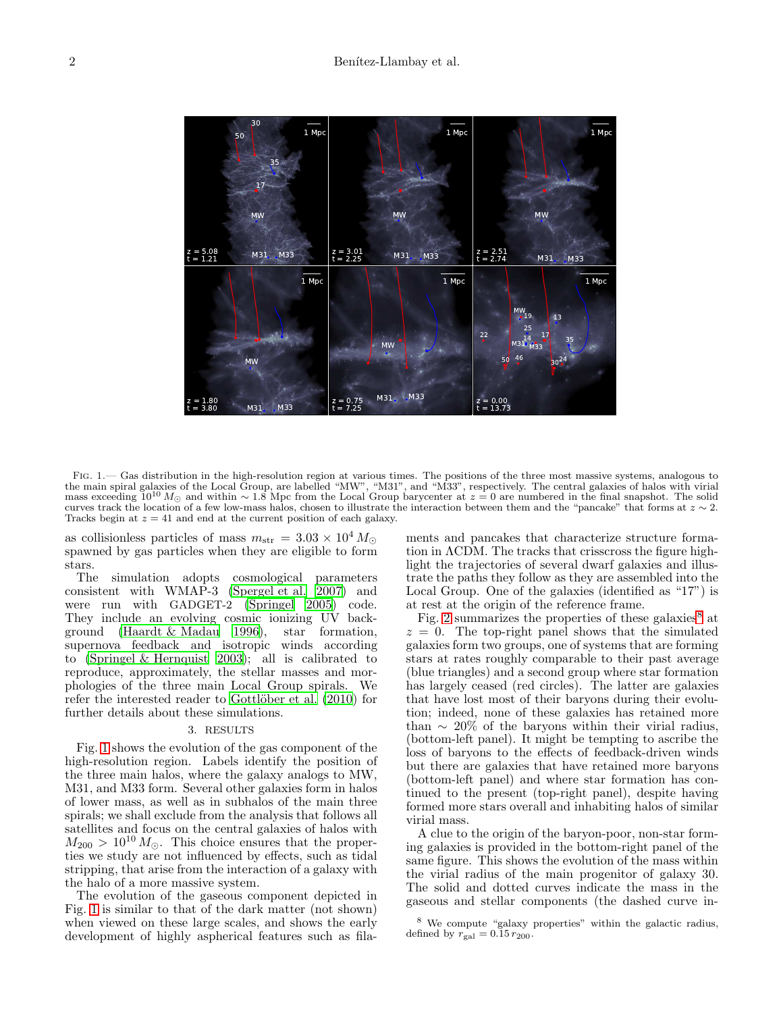

<span id="page-1-0"></span>Fig. 1.— Gas distribution in the high-resolution region at various times. The positions of the three most massive systems, analogous to the main spiral galaxies of the Local Group, are labelled "MW", "M31", and "M33", respectively. The central galaxies of halos with virial<br>mass exceeding  $10^{10} M_{\odot}$  and within  $\sim 1.8$  Mpc from the Local Group barycent curves track the location of a few low-mass halos, chosen to illustrate the interaction between them and the "pancake" that forms at  $z \sim 2$ . Tracks begin at  $z = 41$  and end at the current position of each galaxy.

as collisionless particles of mass  $m_{\text{str}} = 3.03 \times 10^4 M_{\odot}$ spawned by gas particles when they are eligible to form stars.

The simulation adopts cosmological parameters consistent with WMAP-3 [\(Spergel et al. 2007\)](#page-5-15) and were run with GADGET-2 [\(Springel 2005\)](#page-5-16) code. They include an evolving cosmic ionizing UV background [\(Haardt & Madau 1996\)](#page-5-17), star formation, supernova feedback and isotropic winds according to [\(Springel & Hernquist 2003\)](#page-5-18); all is calibrated to reproduce, approximately, the stellar masses and morphologies of the three main Local Group spirals. We refer the interested reader to Gottlöber et al.  $(2010)$  for further details about these simulations.

## 3. RESULTS

Fig. [1](#page-1-0) shows the evolution of the gas component of the high-resolution region. Labels identify the position of the three main halos, where the galaxy analogs to MW, M31, and M33 form. Several other galaxies form in halos of lower mass, as well as in subhalos of the main three spirals; we shall exclude from the analysis that follows all satellites and focus on the central galaxies of halos with  $M_{200} > 10^{10} M_{\odot}$ . This choice ensures that the properties we study are not influenced by effects, such as tidal stripping, that arise from the interaction of a galaxy with the halo of a more massive system.

The evolution of the gaseous component depicted in Fig. [1](#page-1-0) is similar to that of the dark matter (not shown) when viewed on these large scales, and shows the early development of highly aspherical features such as filaments and pancakes that characterize structure formation in ΛCDM. The tracks that crisscross the figure highlight the trajectories of several dwarf galaxies and illustrate the paths they follow as they are assembled into the Local Group. One of the galaxies (identified as "17") is at rest at the origin of the reference frame.

Fig. [2](#page-2-0) summarizes the properties of these galaxies<sup>[8](#page-1-1)</sup> at  $z = 0$ . The top-right panel shows that the simulated galaxies form two groups, one of systems that are forming stars at rates roughly comparable to their past average (blue triangles) and a second group where star formation has largely ceased (red circles). The latter are galaxies that have lost most of their baryons during their evolution; indeed, none of these galaxies has retained more than  $\sim 20\%$  of the baryons within their virial radius, (bottom-left panel). It might be tempting to ascribe the loss of baryons to the effects of feedback-driven winds but there are galaxies that have retained more baryons (bottom-left panel) and where star formation has continued to the present (top-right panel), despite having formed more stars overall and inhabiting halos of similar virial mass.

A clue to the origin of the baryon-poor, non-star forming galaxies is provided in the bottom-right panel of the same figure. This shows the evolution of the mass within the virial radius of the main progenitor of galaxy 30. The solid and dotted curves indicate the mass in the gaseous and stellar components (the dashed curve in-

<span id="page-1-1"></span><sup>8</sup> We compute "galaxy properties" within the galactic radius, defined by  $r_{\text{gal}} = 0.15 r_{200}$ .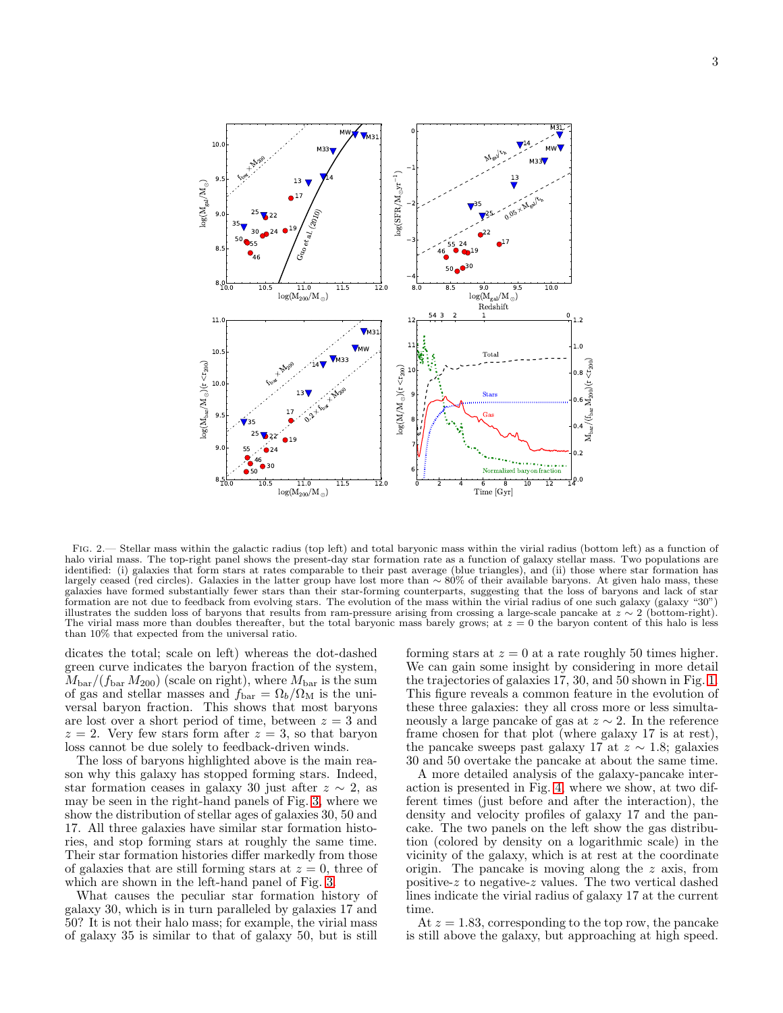

<span id="page-2-0"></span>Fig. 2.— Stellar mass within the galactic radius (top left) and total baryonic mass within the virial radius (bottom left) as a function of halo virial mass. The top-right panel shows the present-day star formation rate as a function of galaxy stellar mass. Two populations are identified: (i) galaxies that form stars at rates comparable to their past average (blue triangles), and (ii) those where star formation has largely ceased (red circles). Galaxies in the latter group have lost more than ∼ 80% of their available baryons. At given halo mass, these galaxies have formed substantially fewer stars than their star-forming counterparts, suggesting that the loss of baryons and lack of star formation are not due to feedback from evolving stars. The evolution of the mass within the virial radius of one such galaxy (galaxy "30") illustrates the sudden loss of baryons that results from ram-pressure arising from crossing a large-scale pancake at  $z \sim 2$  (bottom-right). The virial mass more than doubles thereafter, but the total baryonic mass barely grows; at  $z = 0$  the baryon content of this halo is less than 10% that expected from the universal ratio.

dicates the total; scale on left) whereas the dot-dashed green curve indicates the baryon fraction of the system,  $M_{\text{bar}}/(f_{\text{bar}} M_{200})$  (scale on right), where  $M_{\text{bar}}$  is the sum of gas and stellar masses and  $f_{\text{bar}} = \Omega_b / \Omega_M$  is the universal baryon fraction. This shows that most baryons are lost over a short period of time, between  $z = 3$  and  $z = 2$ . Very few stars form after  $z = 3$ , so that baryon loss cannot be due solely to feedback-driven winds.

The loss of baryons highlighted above is the main reason why this galaxy has stopped forming stars. Indeed, star formation ceases in galaxy 30 just after  $z \sim 2$ , as may be seen in the right-hand panels of Fig. [3,](#page-3-0) where we show the distribution of stellar ages of galaxies 30, 50 and 17. All three galaxies have similar star formation histories, and stop forming stars at roughly the same time. Their star formation histories differ markedly from those of galaxies that are still forming stars at  $z = 0$ , three of which are shown in the left-hand panel of Fig. [3.](#page-3-0)

What causes the peculiar star formation history of galaxy 30, which is in turn paralleled by galaxies 17 and 50? It is not their halo mass; for example, the virial mass of galaxy 35 is similar to that of galaxy 50, but is still

forming stars at  $z = 0$  at a rate roughly 50 times higher. We can gain some insight by considering in more detail the trajectories of galaxies 17, 30, and 50 shown in Fig. [1.](#page-1-0) This figure reveals a common feature in the evolution of these three galaxies: they all cross more or less simultaneously a large pancake of gas at  $z \sim 2$ . In the reference frame chosen for that plot (where galaxy 17 is at rest), the pancake sweeps past galaxy 17 at  $z \sim 1.8$ ; galaxies 30 and 50 overtake the pancake at about the same time.

A more detailed analysis of the galaxy-pancake interaction is presented in Fig. [4,](#page-4-0) where we show, at two different times (just before and after the interaction), the density and velocity profiles of galaxy 17 and the pancake. The two panels on the left show the gas distribution (colored by density on a logarithmic scale) in the vicinity of the galaxy, which is at rest at the coordinate origin. The pancake is moving along the z axis, from positive-z to negative-z values. The two vertical dashed lines indicate the virial radius of galaxy 17 at the current time.

At  $z = 1.83$ , corresponding to the top row, the pancake is still above the galaxy, but approaching at high speed.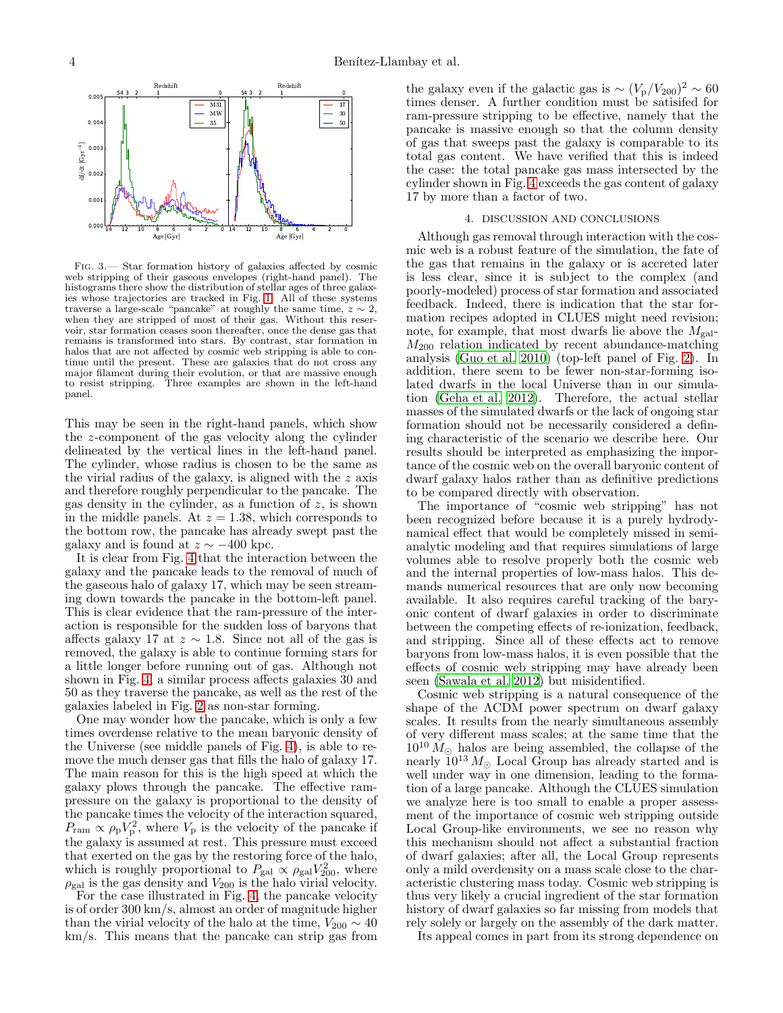

<span id="page-3-0"></span>Fig. 3.— Star formation history of galaxies affected by cosmic web stripping of their gaseous envelopes (right-hand panel). The histograms there show the distribution of stellar ages of three galaxies whose trajectories are tracked in Fig. [1.](#page-1-0) All of these systems traverse a large-scale "pancake" at roughly the same time,  $z \sim 2$ , when they are stripped of most of their gas. Without this reservoir, star formation ceases soon thereafter, once the dense gas that remains is transformed into stars. By contrast, star formation in halos that are not affected by cosmic web stripping is able to continue until the present. These are galaxies that do not cross any major filament during their evolution, or that are massive enough to resist stripping. Three examples are shown in the left-hand panel.

This may be seen in the right-hand panels, which show the z-component of the gas velocity along the cylinder delineated by the vertical lines in the left-hand panel. The cylinder, whose radius is chosen to be the same as the virial radius of the galaxy, is aligned with the  $z$  axis and therefore roughly perpendicular to the pancake. The gas density in the cylinder, as a function of  $z$ , is shown in the middle panels. At  $z = 1.38$ , which corresponds to the bottom row, the pancake has already swept past the galaxy and is found at  $z \sim -400$  kpc.

It is clear from Fig. [4](#page-4-0) that the interaction between the galaxy and the pancake leads to the removal of much of the gaseous halo of galaxy 17, which may be seen streaming down towards the pancake in the bottom-left panel. This is clear evidence that the ram-pressure of the interaction is responsible for the sudden loss of baryons that affects galaxy 17 at  $z \sim 1.8$ . Since not all of the gas is removed, the galaxy is able to continue forming stars for a little longer before running out of gas. Although not shown in Fig. [4,](#page-4-0) a similar process affects galaxies 30 and 50 as they traverse the pancake, as well as the rest of the galaxies labeled in Fig. [2](#page-2-0) as non-star forming.

One may wonder how the pancake, which is only a few times overdense relative to the mean baryonic density of the Universe (see middle panels of Fig. [4\)](#page-4-0), is able to remove the much denser gas that fills the halo of galaxy 17. The main reason for this is the high speed at which the galaxy plows through the pancake. The effective rampressure on the galaxy is proportional to the density of the pancake times the velocity of the interaction squared,  $P_{\text{ram}} \propto \rho_{\text{p}} V_{\text{p}}^2$ , where  $V_{\text{p}}$  is the velocity of the pancake if the galaxy is assumed at rest. This pressure must exceed that exerted on the gas by the restoring force of the halo, which is roughly proportional to  $P_{\text{gal}} \propto \rho_{\text{gal}} V_{200}^2$ , where  $\rho_{gal}$  is the gas density and  $V_{200}$  is the halo virial velocity.

For the case illustrated in Fig. [4,](#page-4-0) the pancake velocity is of order 300 km/s, almost an order of magnitude higher than the virial velocity of the halo at the time,  $V_{200} \sim 40$ km/s. This means that the pancake can strip gas from

the galaxy even if the galactic gas is  $\sim (V_{\rm p}/V_{200})^2 \sim 60$ times denser. A further condition must be satisifed for ram-pressure stripping to be effective, namely that the pancake is massive enough so that the column density of gas that sweeps past the galaxy is comparable to its total gas content. We have verified that this is indeed the case: the total pancake gas mass intersected by the cylinder shown in Fig. [4](#page-4-0) exceeds the gas content of galaxy 17 by more than a factor of two.

#### 4. DISCUSSION AND CONCLUSIONS

Although gas removal through interaction with the cosmic web is a robust feature of the simulation, the fate of the gas that remains in the galaxy or is accreted later is less clear, since it is subject to the complex (and poorly-modeled) process of star formation and associated feedback. Indeed, there is indication that the star formation recipes adopted in CLUES might need revision; note, for example, that most dwarfs lie above the  $M_{\text{gal}}$ - $M_{200}$  relation indicated by recent abundance-matching analysis [\(Guo et al. 2010](#page-5-4)) (top-left panel of Fig. [2\)](#page-2-0). In addition, there seem to be fewer non-star-forming isolated dwarfs in the local Universe than in our simulation [\(Geha et al. 2012](#page-5-19)). Therefore, the actual stellar masses of the simulated dwarfs or the lack of ongoing star formation should not be necessarily considered a defining characteristic of the scenario we describe here. Our results should be interpreted as emphasizing the importance of the cosmic web on the overall baryonic content of dwarf galaxy halos rather than as definitive predictions to be compared directly with observation.

The importance of "cosmic web stripping" has not been recognized before because it is a purely hydrodynamical effect that would be completely missed in semianalytic modeling and that requires simulations of large volumes able to resolve properly both the cosmic web and the internal properties of low-mass halos. This demands numerical resources that are only now becoming available. It also requires careful tracking of the baryonic content of dwarf galaxies in order to discriminate between the competing effects of re-ionization, feedback, and stripping. Since all of these effects act to remove baryons from low-mass halos, it is even possible that the effects of cosmic web stripping may have already been seen [\(Sawala et al. 2012\)](#page-5-20) but misidentified.

Cosmic web stripping is a natural consequence of the shape of the ΛCDM power spectrum on dwarf galaxy scales. It results from the nearly simultaneous assembly of very different mass scales; at the same time that the  $10^{10} M_{\odot}$  halos are being assembled, the collapse of the nearly  $10^{13} M_{\odot}$  Local Group has already started and is well under way in one dimension, leading to the formation of a large pancake. Although the CLUES simulation we analyze here is too small to enable a proper assessment of the importance of cosmic web stripping outside Local Group-like environments, we see no reason why this mechanism should not affect a substantial fraction of dwarf galaxies; after all, the Local Group represents only a mild overdensity on a mass scale close to the characteristic clustering mass today. Cosmic web stripping is thus very likely a crucial ingredient of the star formation history of dwarf galaxies so far missing from models that rely solely or largely on the assembly of the dark matter.

Its appeal comes in part from its strong dependence on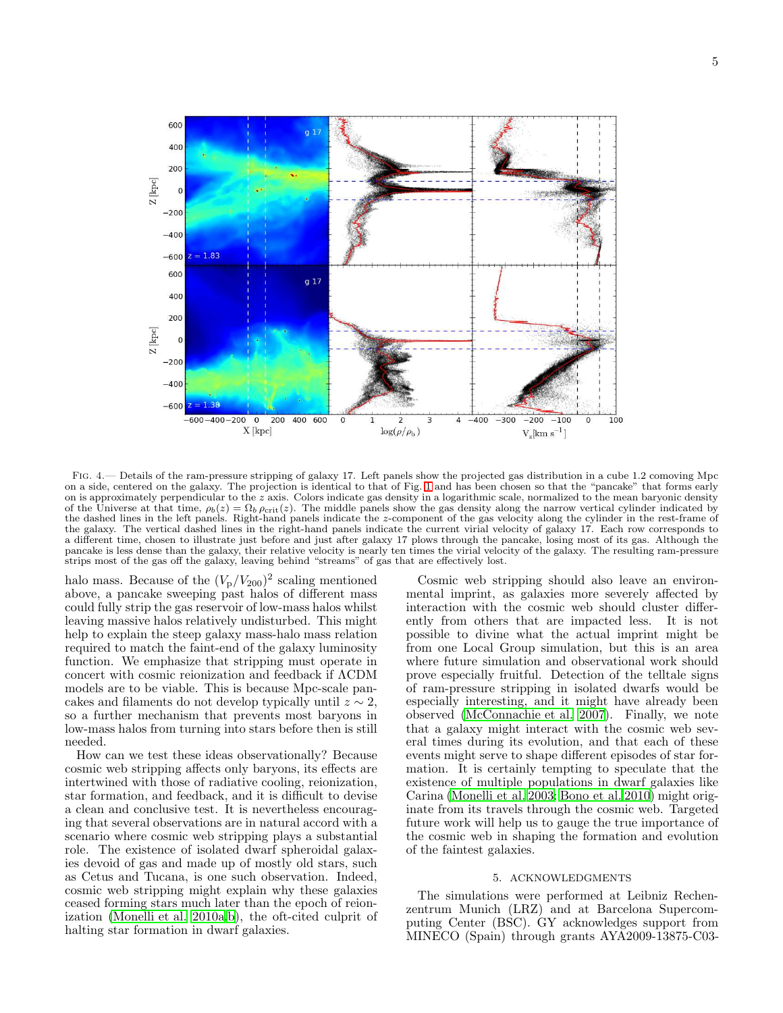

<span id="page-4-0"></span>Fig. 4.— Details of the ram-pressure stripping of galaxy 17. Left panels show the projected gas distribution in a cube 1.2 comoving Mpc on a side, centered on the galaxy. The projection is identical to that of Fig. [1](#page-1-0) and has been chosen so that the "pancake" that forms early on is approximately perpendicular to the z axis. Colors indicate gas density in a logarithmic scale, normalized to the mean baryonic density of the Universe at that time,  $\rho_b(z) = \Omega_b \rho_{\rm crit}(z)$ . The middle panels show the gas density along the narrow vertical cylinder indicated by the dashed lines in the left panels. Right-hand panels indicate the z-component of the gas velocity along the cylinder in the rest-frame of the galaxy. The vertical dashed lines in the right-hand panels indicate the current virial velocity of galaxy 17. Each row corresponds to a different time, chosen to illustrate just before and just after galaxy 17 plows through the pancake, losing most of its gas. Although the pancake is less dense than the galaxy, their relative velocity is nearly ten times the virial velocity of the galaxy. The resulting ram-pressure strips most of the gas off the galaxy, leaving behind "streams" of gas that are effectively lost.

halo mass. Because of the  $(V_{\rm p}/V_{200})^2$  scaling mentioned above, a pancake sweeping past halos of different mass could fully strip the gas reservoir of low-mass halos whilst leaving massive halos relatively undisturbed. This might help to explain the steep galaxy mass-halo mass relation required to match the faint-end of the galaxy luminosity function. We emphasize that stripping must operate in concert with cosmic reionization and feedback if ΛCDM models are to be viable. This is because Mpc-scale pancakes and filaments do not develop typically until  $z \sim 2$ , so a further mechanism that prevents most baryons in low-mass halos from turning into stars before then is still needed.

How can we test these ideas observationally? Because cosmic web stripping affects only baryons, its effects are intertwined with those of radiative cooling, reionization, star formation, and feedback, and it is difficult to devise a clean and conclusive test. It is nevertheless encouraging that several observations are in natural accord with a scenario where cosmic web stripping plays a substantial role. The existence of isolated dwarf spheroidal galaxies devoid of gas and made up of mostly old stars, such as Cetus and Tucana, is one such observation. Indeed, cosmic web stripping might explain why these galaxies ceased forming stars much later than the epoch of reionization [\(Monelli et al. 2010a](#page-5-21)[,b\)](#page-5-22), the oft-cited culprit of halting star formation in dwarf galaxies.

Cosmic web stripping should also leave an environmental imprint, as galaxies more severely affected by interaction with the cosmic web should cluster differently from others that are impacted less. It is not possible to divine what the actual imprint might be from one Local Group simulation, but this is an area where future simulation and observational work should prove especially fruitful. Detection of the telltale signs of ram-pressure stripping in isolated dwarfs would be especially interesting, and it might have already been observed [\(McConnachie et al. 2007](#page-5-23)). Finally, we note that a galaxy might interact with the cosmic web several times during its evolution, and that each of these events might serve to shape different episodes of star formation. It is certainly tempting to speculate that the existence of multiple populations in dwarf galaxies like Carina [\(Monelli et al. 2003](#page-5-24); [Bono et al. 2010\)](#page-5-25) might originate from its travels through the cosmic web. Targeted future work will help us to gauge the true importance of the cosmic web in shaping the formation and evolution of the faintest galaxies.

### 5. ACKNOWLEDGMENTS

The simulations were performed at Leibniz Rechenzentrum Munich (LRZ) and at Barcelona Supercomputing Center (BSC). GY acknowledges support from MINECO (Spain) through grants AYA2009-13875-C03